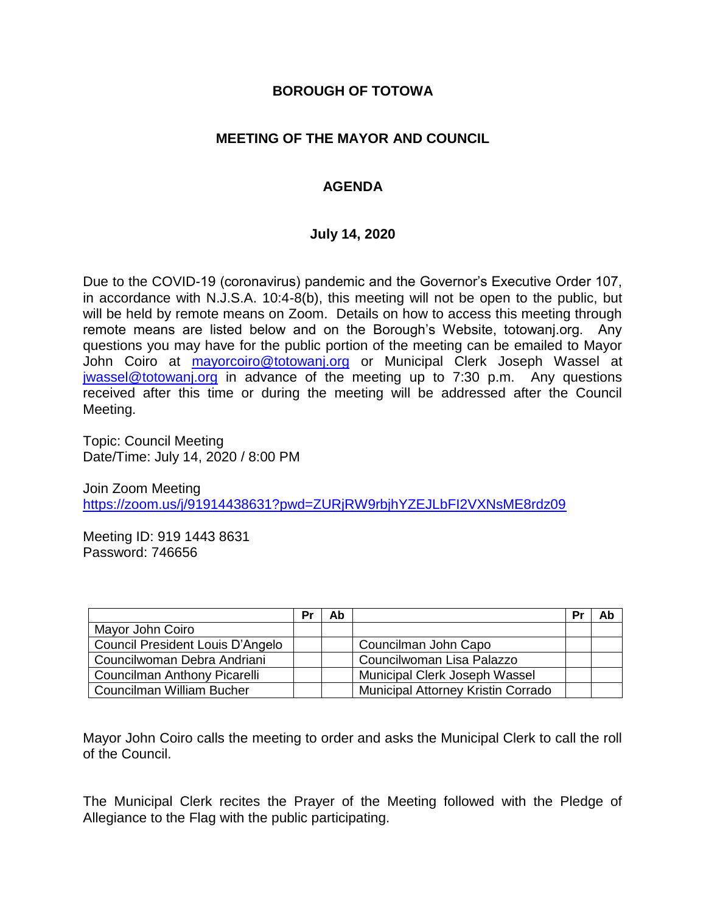### **BOROUGH OF TOTOWA**

### **MEETING OF THE MAYOR AND COUNCIL**

### **AGENDA**

#### **July 14, 2020**

Due to the COVID-19 (coronavirus) pandemic and the Governor's Executive Order 107, in accordance with N.J.S.A. 10:4-8(b), this meeting will not be open to the public, but will be held by remote means on Zoom. Details on how to access this meeting through remote means are listed below and on the Borough's Website, totowanj.org. Any questions you may have for the public portion of the meeting can be emailed to Mayor John Coiro at [mayorcoiro@totowanj.org](mailto:mayorcoiro@totowanj.org) or Municipal Clerk Joseph Wassel at [jwassel@totowanj.org](mailto:jwassel@totowanj.org) in advance of the meeting up to 7:30 p.m. Any questions received after this time or during the meeting will be addressed after the Council Meeting.

Topic: Council Meeting Date/Time: July 14, 2020 / 8:00 PM

Join Zoom Meeting <https://zoom.us/j/91914438631?pwd=ZURjRW9rbjhYZEJLbFI2VXNsME8rdz09>

Meeting ID: 919 1443 8631 Password: 746656

|                                         | Pr | Ab |                                           | <b>Pr</b> | Ab |
|-----------------------------------------|----|----|-------------------------------------------|-----------|----|
| Mayor John Coiro                        |    |    |                                           |           |    |
| <b>Council President Louis D'Angelo</b> |    |    | Councilman John Capo                      |           |    |
| Councilwoman Debra Andriani             |    |    | Councilwoman Lisa Palazzo                 |           |    |
| <b>Councilman Anthony Picarelli</b>     |    |    | Municipal Clerk Joseph Wassel             |           |    |
| Councilman William Bucher               |    |    | <b>Municipal Attorney Kristin Corrado</b> |           |    |

Mayor John Coiro calls the meeting to order and asks the Municipal Clerk to call the roll of the Council.

The Municipal Clerk recites the Prayer of the Meeting followed with the Pledge of Allegiance to the Flag with the public participating.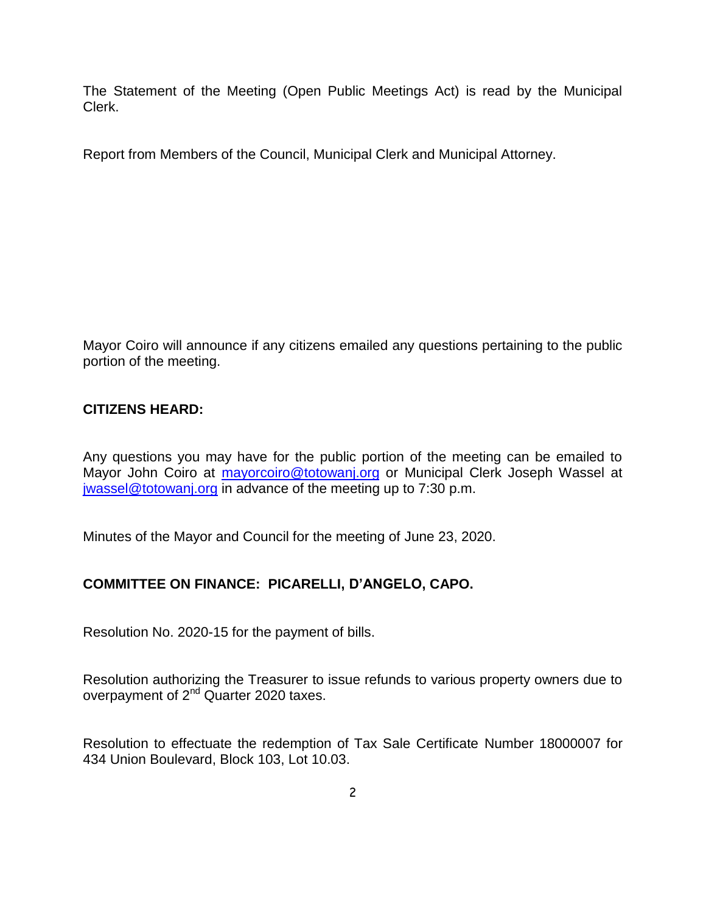The Statement of the Meeting (Open Public Meetings Act) is read by the Municipal Clerk.

Report from Members of the Council, Municipal Clerk and Municipal Attorney.

Mayor Coiro will announce if any citizens emailed any questions pertaining to the public portion of the meeting.

### **CITIZENS HEARD:**

Any questions you may have for the public portion of the meeting can be emailed to Mayor John Coiro at [mayorcoiro@totowanj.org](mailto:mayorcoiro@totowanj.org) or Municipal Clerk Joseph Wassel at [jwassel@totowanj.org](mailto:jwassel@totowanj.org) in advance of the meeting up to 7:30 p.m.

Minutes of the Mayor and Council for the meeting of June 23, 2020.

## **COMMITTEE ON FINANCE: PICARELLI, D'ANGELO, CAPO.**

Resolution No. 2020-15 for the payment of bills.

Resolution authorizing the Treasurer to issue refunds to various property owners due to overpayment of 2<sup>nd</sup> Quarter 2020 taxes.

Resolution to effectuate the redemption of Tax Sale Certificate Number 18000007 for 434 Union Boulevard, Block 103, Lot 10.03.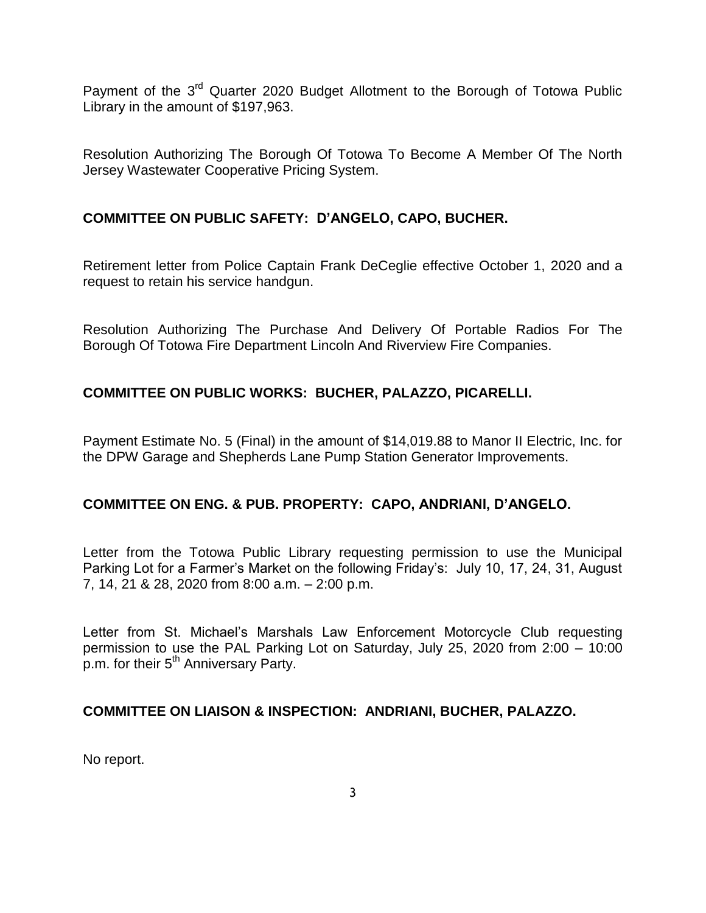Payment of the 3<sup>rd</sup> Quarter 2020 Budget Allotment to the Borough of Totowa Public Library in the amount of \$197,963.

Resolution Authorizing The Borough Of Totowa To Become A Member Of The North Jersey Wastewater Cooperative Pricing System.

## **COMMITTEE ON PUBLIC SAFETY: D'ANGELO, CAPO, BUCHER.**

Retirement letter from Police Captain Frank DeCeglie effective October 1, 2020 and a request to retain his service handgun.

Resolution Authorizing The Purchase And Delivery Of Portable Radios For The Borough Of Totowa Fire Department Lincoln And Riverview Fire Companies.

## **COMMITTEE ON PUBLIC WORKS: BUCHER, PALAZZO, PICARELLI.**

Payment Estimate No. 5 (Final) in the amount of \$14,019.88 to Manor II Electric, Inc. for the DPW Garage and Shepherds Lane Pump Station Generator Improvements.

#### **COMMITTEE ON ENG. & PUB. PROPERTY: CAPO, ANDRIANI, D'ANGELO.**

Letter from the Totowa Public Library requesting permission to use the Municipal Parking Lot for a Farmer's Market on the following Friday's: July 10, 17, 24, 31, August 7, 14, 21 & 28, 2020 from 8:00 a.m. – 2:00 p.m.

Letter from St. Michael's Marshals Law Enforcement Motorcycle Club requesting permission to use the PAL Parking Lot on Saturday, July 25, 2020 from 2:00 – 10:00 p.m. for their 5<sup>th</sup> Anniversary Party.

#### **COMMITTEE ON LIAISON & INSPECTION: ANDRIANI, BUCHER, PALAZZO.**

No report.